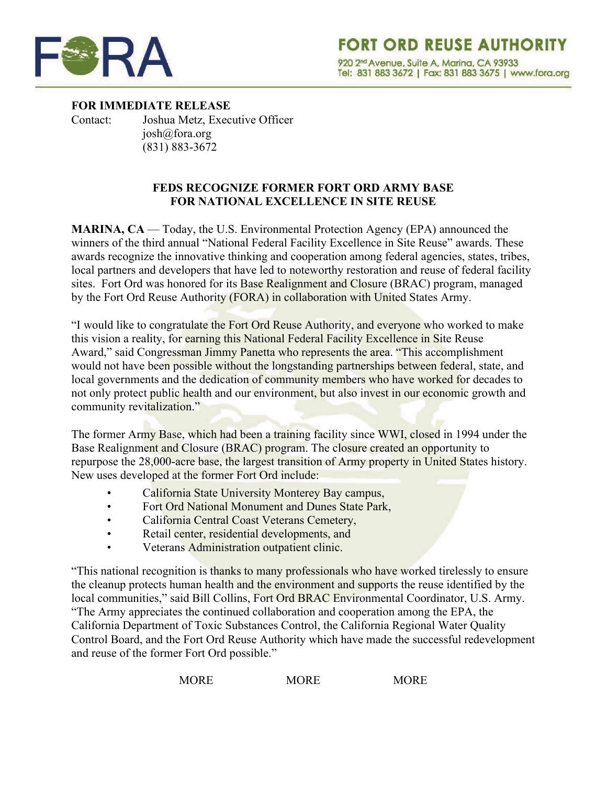

**FOR IMMEDIATE RELEASE** Contact: Joshua Metz, Executive Officer [josh@fora.org](mailto:josh@fora.org) (831) 883-3672

## **FEDS RECOGNIZE FORMER FORT ORD ARMY BASE FOR NATIONAL EXCELLENCE IN SITE REUSE**

**MARINA, CA** — Today, the U.S. Environmental Protection Agency (EPA) announced the winners of the third annual "National Federal Facility Excellence in Site Reuse" awards. These awards recognize the innovative thinking and cooperation among federal agencies, states, tribes, local partners and developers that have led to noteworthy restoration and reuse of federal facility sites. Fort Ord was honored for its Base Realignment and Closure (BRAC) program, managed by the Fort Ord Reuse Authority (FORA) in collaboration with United States Army.

"I would like to congratulate the Fort Ord Reuse Authority, and everyone who worked to make this vision a reality, for earning this National Federal Facility Excellence in Site Reuse Award," said Congressman Jimmy Panetta who represents the area. "This accomplishment would not have been possible without the longstanding partnerships between federal, state, and local governments and the dedication of community members who have worked for decades to not only protect public health and our environment, but also invest in our economic growth and community revitalization."

The former Army Base, which had been a training facility since WWI, closed in 1994 under the Base Realignment and Closure (BRAC) program. The closure created an opportunity to repurpose the 28,000-acre base, the largest transition of Army property in United States history. New uses developed at the former Fort Ord include:

- California State University Monterey Bay campus,
- Fort Ord National Monument and Dunes State Park,
- California Central Coast Veterans Cemetery,
- Retail center, residential developments, and
- Veterans Administration outpatient clinic.

"This national recognition is thanks to many professionals who have worked tirelessly to ensure the cleanup protects human health and the environment and supports the reuse identified by the local communities," said Bill Collins, Fort Ord BRAC Environmental Coordinator, U.S. Army. "The Army appreciates the continued collaboration and cooperation among the EPA, the California Department of Toxic Substances Control, the California Regional Water Quality Control Board, and the Fort Ord Reuse Authority which have made the successful redevelopment and reuse of the former Fort Ord possible."